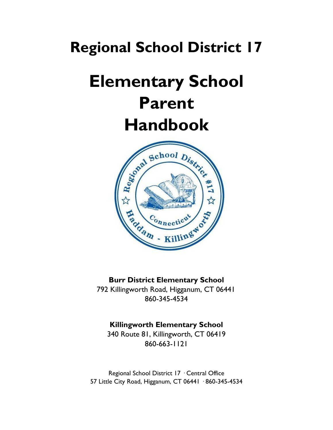# **Regional School District 17**

# **Elementary School Parent**



#### **Burr District Elementary School**

792 Killingworth Road, Higganum, CT 06441 860-345-4534

#### **Killingworth Elementary School**

340 Route 81, Killingworth, CT 06419 860-663-1121

Regional School District 17 · Central Office 57 Little City Road, Higganum, CT 06441 · 860-345-4534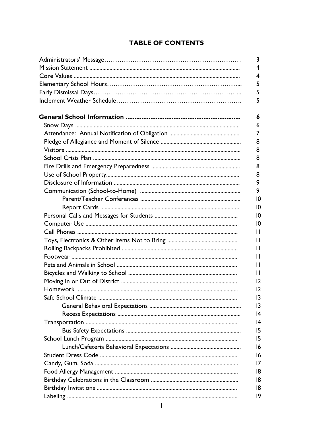#### **TABLE OF CONTENTS**

| 3               |
|-----------------|
| 4               |
| 4               |
| 5               |
| 5               |
| 5               |
|                 |
| 6               |
| 6               |
| 7               |
| 8               |
| 8               |
| 8               |
| 8               |
| 8               |
| 9               |
| 9               |
| 10              |
| $\overline{10}$ |
| 10              |
| 10              |
| П               |
| П               |
| П               |
| П               |
| П               |
| П               |
| 12              |
| 2               |
| 13              |
| $\overline{13}$ |
| 4               |
| $\overline{14}$ |
| 15              |
| 15              |
| 16              |
| 16              |
| 17              |
| 18              |
| 18              |
| 18              |
| 19              |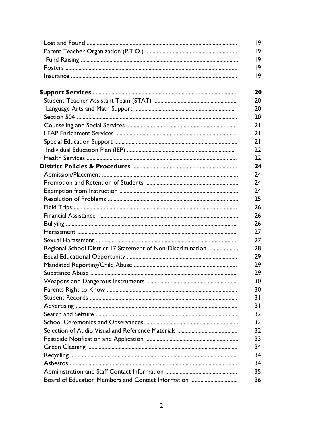|                                                             | $ 9\rangle$ |
|-------------------------------------------------------------|-------------|
|                                                             | 9           |
|                                                             | 9           |
|                                                             | 19          |
|                                                             | 19          |
|                                                             | 20          |
|                                                             | 20          |
|                                                             | 20          |
|                                                             | 20          |
|                                                             | 21          |
|                                                             | 21          |
|                                                             | 21          |
|                                                             | 22          |
|                                                             | 22          |
|                                                             | 24          |
|                                                             | 24          |
|                                                             | 24          |
|                                                             | 24          |
|                                                             | 25          |
|                                                             | 26          |
|                                                             | 26          |
|                                                             | 26          |
|                                                             | 27          |
|                                                             | 27          |
| Regional School District 17 Statement of Non-Discrimination | 28          |
|                                                             | 29          |
|                                                             | 29          |
|                                                             | 29          |
|                                                             | 30          |
|                                                             | 30          |
|                                                             | 31          |
|                                                             | 31          |
|                                                             | 32          |
|                                                             | 32          |
|                                                             | 32          |
|                                                             | 33          |
|                                                             | 34          |
|                                                             | 34          |
|                                                             | 34          |
|                                                             | 35          |
|                                                             | 36          |
|                                                             |             |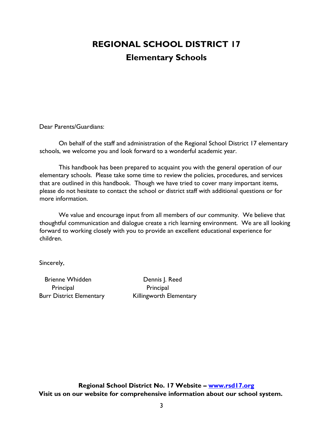## **REGIONAL SCHOOL DISTRICT 17 Elementary Schools**

Dear Parents/Guardians:

On behalf of the staff and administration of the Regional School District 17 elementary schools, we welcome you and look forward to a wonderful academic year.

This handbook has been prepared to acquaint you with the general operation of our elementary schools. Please take some time to review the policies, procedures, and services that are outlined in this handbook. Though we have tried to cover many important items, please do not hesitate to contact the school or district staff with additional questions or for more information.

We value and encourage input from all members of our community. We believe that thoughtful communication and dialogue create a rich learning environment. We are all looking forward to working closely with you to provide an excellent educational experience for children.

Sincerely,

Brienne Whidden **Dennis J. Reed** Principal Principal

Burr District Elementary Killingworth Elementary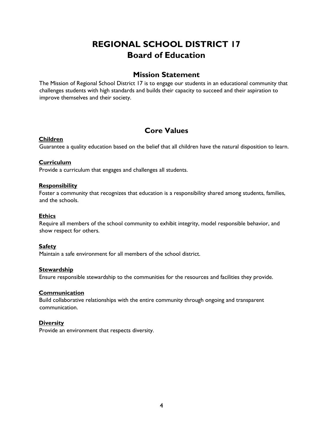### **REGIONAL SCHOOL DISTRICT 17 Board of Education**

#### **Mission Statement**

The Mission of Regional School District 17 is to engage our students in an educational community that challenges students with high standards and builds their capacity to succeed and their aspiration to improve themselves and their society.

#### **Core Values**

#### **Children**

Guarantee a quality education based on the belief that all children have the natural disposition to learn.

#### **Curriculum**

Provide a curriculum that engages and challenges all students.

#### **Responsibility**

Foster a community that recognizes that education is a responsibility shared among students, families, and the schools.

#### **Ethics**

Require all members of the school community to exhibit integrity, model responsible behavior, and show respect for others.

#### **Safety**

Maintain a safe environment for all members of the school district.

#### **Stewardship**

Ensure responsible stewardship to the communities for the resources and facilities they provide.

#### **Communication**

Build collaborative relationships with the entire community through ongoing and transparent communication.

#### **Diversity**

Provide an environment that respects diversity.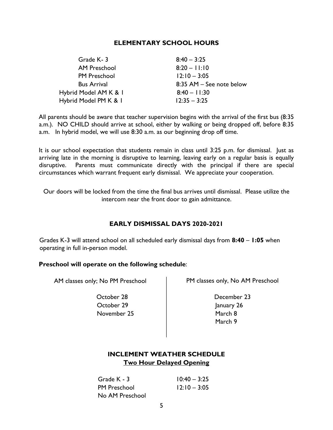#### **ELEMENTARY SCHOOL HOURS**

| Grade K-3             | $8:40 - 3:25$            |
|-----------------------|--------------------------|
| <b>AM Preschool</b>   | $8:20 - 11:10$           |
| <b>PM Preschool</b>   | $12:10 - 3:05$           |
| <b>Bus Arrival</b>    | 8:35 AM - See note below |
| Hybrid Model AM K & I | $8:40 - 11:30$           |
| Hybrid Model PM K & I | $12:35 - 3:25$           |

All parents should be aware that teacher supervision begins with the arrival of the first bus (8:35 a.m.). NO CHILD should arrive at school, either by walking or being dropped off, before 8:35 a.m. In hybrid model, we will use 8:30 a.m. as our beginning drop off time.

It is our school expectation that students remain in class until 3:25 p.m. for dismissal. Just as arriving late in the morning is disruptive to learning, leaving early on a regular basis is equally disruptive. Parents must communicate directly with the principal if there are special circumstances which warrant frequent early dismissal. We appreciate your cooperation.

Our doors will be locked from the time the final bus arrives until dismissal. Please utilize the intercom near the front door to gain admittance.

#### **EARLY DISMISSAL DAYS 2020-2021**

Grades K-3 will attend school on all scheduled early dismissal days from **8:40** – **1:05** when operating in full in-person model.

#### **Preschool will operate on the following schedule**:

 October 28 December 23 October 29 January 26 November 25 March 8

AM classes only; No PM Preschool PM classes only, No AM Preschool

March 9

#### **INCLEMENT WEATHER SCHEDULE Two Hour Delayed Opening**

| Grade K - 3         | $10:40 - 3:25$ |
|---------------------|----------------|
| <b>PM Preschool</b> | $12:10 - 3:05$ |
| No AM Preschool     |                |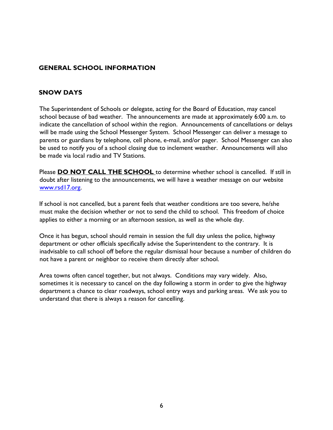#### **GENERAL SCHOOL INFORMATION**

#### **SNOW DAYS**

The Superintendent of Schools or delegate, acting for the Board of Education, may cancel school because of bad weather. The announcements are made at approximately 6:00 a.m. to indicate the cancellation of school within the region. Announcements of cancellations or delays will be made using the School Messenger System. School Messenger can deliver a message to parents or guardians by telephone, cell phone, e-mail, and/or pager. School Messenger can also be used to notify you of a school closing due to inclement weather. Announcements will also be made via local radio and TV Stations.

Please **DO NOT CALL THE SCHOOL** to determine whether school is cancelled. If still in doubt after listening to the announcements, we will have a weather message on our website [www.rsd17.org.](http://www.rsd17.org/)

If school is not cancelled, but a parent feels that weather conditions are too severe, he/she must make the decision whether or not to send the child to school. This freedom of choice applies to either a morning or an afternoon session, as well as the whole day.

Once it has begun, school should remain in session the full day unless the police, highway department or other officials specifically advise the Superintendent to the contrary. It is inadvisable to call school off before the regular dismissal hour because a number of children do not have a parent or neighbor to receive them directly after school.

Area towns often cancel together, but not always. Conditions may vary widely. Also, sometimes it is necessary to cancel on the day following a storm in order to give the highway department a chance to clear roadways, school entry ways and parking areas. We ask you to understand that there is always a reason for cancelling.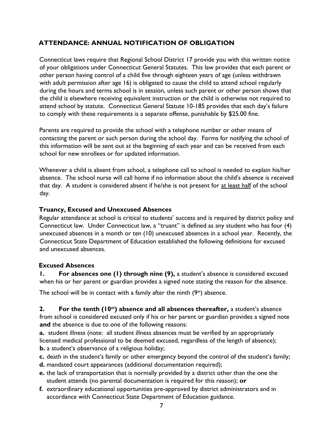#### **ATTENDANCE: ANNUAL NOTIFICATION OF OBLIGATION**

Connecticut laws require that Regional School District 17 provide you with this written notice of your obligations under Connecticut General Statutes. This law provides that each parent or other person having control of a child five through eighteen years of age (unless withdrawn with adult permission after age 16) is obligated to cause the child to attend school regularly during the hours and terms school is in session, unless such parent or other person shows that the child is elsewhere receiving equivalent instruction or the child is otherwise not required to attend school by statute. Connecticut General Statute 10-185 provides that each day's failure to comply with these requirements is a separate offense, punishable by \$25.00 fine.

Parents are required to provide the school with a telephone number or other means of contacting the parent or such person during the school day. Forms for notifying the school of this information will be sent out at the beginning of each year and can be received from each school for new enrollees or for updated information.

Whenever a child is absent from school, a telephone call to school is needed to explain his/her absence. The school nurse will call home if no information about the child's absence is received that day. A student is considered absent if he/she is not present for at least half of the school day.

#### **Truancy, Excused and Unexcused Absences**

Regular attendance at school is critical to students' success and is required by district policy and Connecticut law. Under Connecticut law, a "truant" is defined as any student who has four (4) unexcused absences in a month or ten (10) unexcused absences in a school year. Recently, the Connecticut State Department of Education established the following definitions for excused and unexcused absences.

#### **Excused Absences**

**1. For absences one (1) through nine (9),** a student's absence is considered excused when his or her parent or guardian provides a signed note stating the reason for the absence.

The school will be in contact with a family after the ninth  $(9<sup>th</sup>)$  absence.

**2. For the tenth (10th) absence and all absences thereafter,** a student's absence from school is considered excused only if his or her parent or guardian provides a signed note **and** the absence is due to one of the following reasons:

**a.** student illness (note: all student illness absences must be verified by an appropriately licensed medical professional to be deemed excused, regardless of the length of absence); **b.** a student's observance of a religious holiday;

- **c.** death in the student's family or other emergency beyond the control of the student's family;
- **d.** mandated court appearances (additional documentation required);
- **e.** the lack of transportation that is normally provided by a district other than the one the student attends (no parental documentation is required for this reason); **or**
- **f.** extraordinary educational opportunities pre-approved by district administrators and in accordance with Connecticut State Department of Education guidance.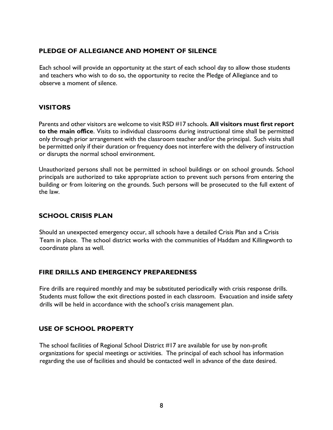#### **PLEDGE OF ALLEGIANCE AND MOMENT OF SILENCE**

Each school will provide an opportunity at the start of each school day to allow those students and teachers who wish to do so, the opportunity to recite the Pledge of Allegiance and to observe a moment of silence.

#### **VISITORS**

Parents and other visitors are welcome to visit RSD #17 schools. **All visitors must first report to the main office**. Visits to individual classrooms during instructional time shall be permitted only through prior arrangement with the classroom teacher and/or the principal. Such visits shall be permitted only if their duration or frequency does not interfere with the delivery of instruction or disrupts the normal school environment.

Unauthorized persons shall not be permitted in school buildings or on school grounds. School principals are authorized to take appropriate action to prevent such persons from entering the building or from loitering on the grounds. Such persons will be prosecuted to the full extent of the law.

#### **SCHOOL CRISIS PLAN**

Should an unexpected emergency occur, all schools have a detailed Crisis Plan and a Crisis Team in place. The school district works with the communities of Haddam and Killingworth to coordinate plans as well.

#### **FIRE DRILLS AND EMERGENCY PREPAREDNESS**

Fire drills are required monthly and may be substituted periodically with crisis response drills. Students must follow the exit directions posted in each classroom. Evacuation and inside safety drills will be held in accordance with the school's crisis management plan.

#### **USE OF SCHOOL PROPERTY**

The school facilities of Regional School District #17 are available for use by non-profit organizations for special meetings or activities. The principal of each school has information regarding the use of facilities and should be contacted well in advance of the date desired.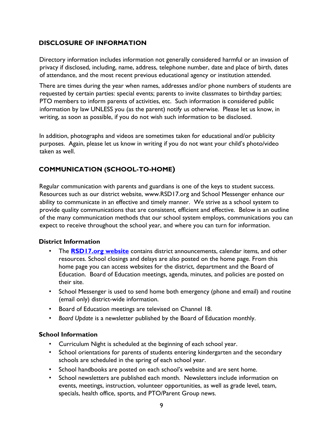#### **DISCLOSURE OF INFORMATION**

Directory information includes information not generally considered harmful or an invasion of privacy if disclosed, including, name, address, telephone number, date and place of birth, dates of attendance, and the most recent previous educational agency or institution attended.

There are times during the year when names, addresses and/or phone numbers of students are requested by certain parties: special events; parents to invite classmates to birthday parties; PTO members to inform parents of activities, etc. Such information is considered public information by law UNLESS you (as the parent) notify us otherwise. Please let us know, in writing, as soon as possible, if you do not wish such information to be disclosed.

In addition, photographs and videos are sometimes taken for educational and/or publicity purposes. Again, please let us know in writing if you do not want your child's photo/video taken as well.

#### **COMMUNICATION (SCHOOL-TO-HOME)**

Regular communication with parents and guardians is one of the keys to student success. Resources such as our district website, www.RSD17.org and School Messenger enhance our ability to communicate in an effective and timely manner. We strive as a school system to provide quality communications that are consistent, efficient and effective. Below is an outline of the many communication methods that our school system employs, communications you can expect to receive throughout the school year, and where you can turn for information.

#### **District Information**

- The **[RSD17.org](http://www.glastonburyus.org/) [w](http://www.glastonburyus.org/)ebsite** contains district announcements, calendar items, and other resources. School closings and delays are also posted on the home page. From this home page you can access websites for the district, department and the Board of Education. Board of Education meetings, agenda, minutes, and policies are posted on their site.
- School Messenger is used to send home both emergency (phone and email) and routine (email only) district-wide information.
- Board of Education meetings are televised on Channel 18.
- *Board Update* is a newsletter published by the Board of Education monthly.

#### **School Information**

- Curriculum Night is scheduled at the beginning of each school year.
- School orientations for parents of students entering kindergarten and the secondary schools are scheduled in the spring of each school year.
- School handbooks are posted on each school's website and are sent home.
- School newsletters are published each month. Newsletters include information on events, meetings, instruction, volunteer opportunities, as well as grade level, team, specials, health office, sports, and PTO/Parent Group news.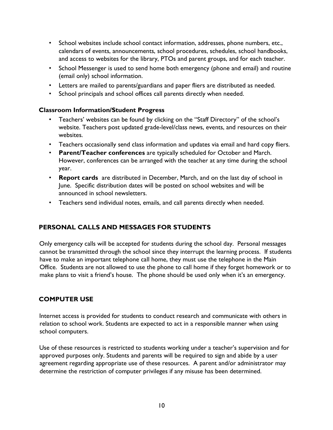- [School websites](https://www.glastonburyus.org/SCHOOLS/Pages/default.aspx) [in](https://www.glastonburyus.org/SCHOOLS/Pages/default.aspx)clude school contact information, addresses, phone numbers, etc., calendars of events, announcements, school procedures, schedules, school handbooks, and access to websites for the library, PTOs and parent groups, and for each teacher.
- School Messenger is used to send home both emergency (phone and email) and routine (email only) school information.
- Letters are mailed to parents/guardians and paper fliers are distributed as needed.
- School principals and school offices call parents directly when needed.

#### **Classroom Information/Student Progress**

- Teachers' websites can be found by clicking on the "Staff Directory" of the school's website. Teachers post updated grade-level/class news, events, and resources on their websites.
- Teachers occasionally send class information and updates via email and hard copy fliers.
- **Parent/Teacher conferences** are typically scheduled for October and March. However, conferences can be arranged with the teacher at any time during the school year.
- **[Report cards](https://www.glastonburyus.org/parents/Pages/ReportCardsandProgressReports.aspx)** [a](https://www.glastonburyus.org/parents/Pages/ReportCardsandProgressReports.aspx)re distributed in December, March, and on the last day of school in June. Specific distribution dates will be posted on school websites and will be announced in school newsletters.
- Teachers send individual notes, emails, and call parents directly when needed.

#### **PERSONAL CALLS AND MESSAGES FOR STUDENTS**

Only emergency calls will be accepted for students during the school day. Personal messages cannot be transmitted through the school since they interrupt the learning process. If students have to make an important telephone call home, they must use the telephone in the Main Office. Students are not allowed to use the phone to call home if they forget homework or to make plans to visit a friend's house. The phone should be used only when it's an emergency.

#### **COMPUTER USE**

Internet access is provided for students to conduct research and communicate with others in relation to school work. Students are expected to act in a responsible manner when using school computers.

Use of these resources is restricted to students working under a teacher's supervision and for approved purposes only. Students and parents will be required to sign and abide by a user agreement regarding appropriate use of these resources. A parent and/or administrator may determine the restriction of computer privileges if any misuse has been determined.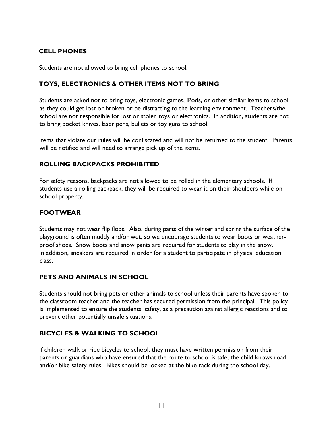#### **CELL PHONES**

Students are not allowed to bring cell phones to school.

#### **TOYS, ELECTRONICS & OTHER ITEMS NOT TO BRING**

Students are asked not to bring toys, electronic games, iPods, or other similar items to school as they could get lost or broken or be distracting to the learning environment. Teachers/the school are not responsible for lost or stolen toys or electronics. In addition, students are not to bring pocket knives, laser pens, bullets or toy guns to school.

Items that violate our rules will be confiscated and will not be returned to the student. Parents will be notified and will need to arrange pick up of the items.

#### **ROLLING BACKPACKS PROHIBITED**

For safety reasons, backpacks are not allowed to be rolled in the elementary schools. If students use a rolling backpack, they will be required to wear it on their shoulders while on school property.

#### **FOOTWEAR**

Students may not wear flip flops. Also, during parts of the winter and spring the surface of the playground is often muddy and/or wet, so we encourage students to wear boots or weatherproof shoes. Snow boots and snow pants are required for students to play in the snow. In addition, sneakers are required in order for a student to participate in physical education class.

#### **PETS AND ANIMALS IN SCHOOL**

Students should not bring pets or other animals to school unless their parents have spoken to the classroom teacher and the teacher has secured permission from the principal. This policy is implemented to ensure the students' safety, as a precaution against allergic reactions and to prevent other potentially unsafe situations.

#### **BICYCLES & WALKING TO SCHOOL**

If children walk or ride bicycles to school, they must have written permission from their parents or guardians who have ensured that the route to school is safe, the child knows road and/or bike safety rules. Bikes should be locked at the bike rack during the school day.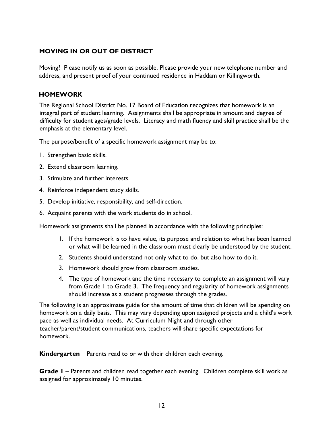#### **MOVING IN OR OUT OF DISTRICT**

Moving? Please notify us as soon as possible. Please provide your new telephone number and address, and present proof of your continued residence in Haddam or Killingworth.

#### **HOMEWORK**

The Regional School District No. 17 Board of Education recognizes that homework is an integral part of student learning. Assignments shall be appropriate in amount and degree of difficulty for student ages/grade levels. Literacy and math fluency and skill practice shall be the emphasis at the elementary level.

The purpose/benefit of a specific homework assignment may be to:

- 1. Strengthen basic skills.
- 2. Extend classroom learning.
- 3. Stimulate and further interests.
- 4. Reinforce independent study skills.
- 5. Develop initiative, responsibility, and self-direction.
- 6. Acquaint parents with the work students do in school.

Homework assignments shall be planned in accordance with the following principles:

- 1. If the homework is to have value, its purpose and relation to what has been learned or what will be learned in the classroom must clearly be understood by the student.
- 2. Students should understand not only what to do, but also how to do it.
- 3. Homework should grow from classroom studies.
- 4. The type of homework and the time necessary to complete an assignment will vary from Grade 1 to Grade 3. The frequency and regularity of homework assignments should increase as a student progresses through the grades.

The following is an approximate guide for the amount of time that children will be spending on homework on a daily basis. This may vary depending upon assigned projects and a child's work pace as well as individual needs. At Curriculum Night and through other teacher/parent/student communications, teachers will share specific expectations for homework.

**Kindergarten** – Parents read to or with their children each evening.

**Grade 1** – Parents and children read together each evening. Children complete skill work as assigned for approximately 10 minutes.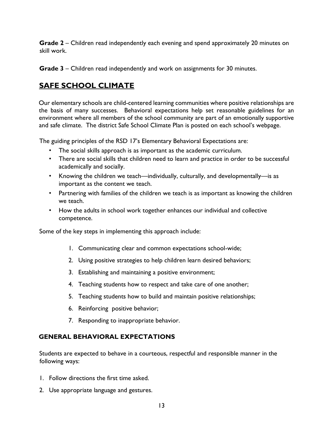**Grade 2** – Children read independently each evening and spend approximately 20 minutes on skill work.

**Grade 3** – Children read independently and work on assignments for 30 minutes.

#### **SAFE SCHOOL CLIMATE**

Our elementary schools are child-centered learning communities where positive relationships are the basis of many successes. Behavioral expectations help set reasonable guidelines for an environment where all members of the school community are part of an emotionally supportive and safe climate. The district Safe School Climate Plan is posted on each school's webpage.

The guiding principles of the RSD 17's Elementary Behavioral Expectations are:

- The social skills approach is as important as the academic curriculum.
- There are social skills that children need to learn and practice in order to be successful academically and socially.
- Knowing the children we teach—individually, culturally, and developmentally—is as important as the content we teach.
- Partnering with families of the children we teach is as important as knowing the children we teach.
- How the adults in school work together enhances our individual and collective competence.

Some of the key steps in implementing this approach include:

- 1. Communicating clear and common expectations school-wide;
- 2. Using positive strategies to help children learn desired behaviors;
- 3. Establishing and maintaining a positive environment;
- 4. Teaching students how to respect and take care of one another;
- 5. Teaching students how to build and maintain positive relationships;
- 6. Reinforcing positive behavior;
- 7. Responding to inappropriate behavior.

#### **GENERAL BEHAVIORAL EXPECTATIONS**

Students are expected to behave in a courteous, respectful and responsible manner in the following ways:

- 1. Follow directions the first time asked.
- 2. Use appropriate language and gestures.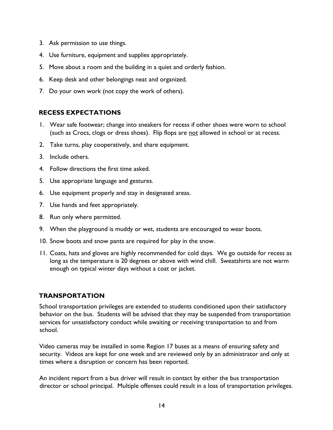- 3. Ask permission to use things.
- 4. Use furniture, equipment and supplies appropriately.
- 5. Move about a room and the building in a quiet and orderly fashion.
- 6. Keep desk and other belongings neat and organized.
- 7. Do your own work (not copy the work of others).

#### **RECESS EXPECTATIONS**

- 1. Wear safe footwear; change into sneakers for recess if other shoes were worn to school (such as Crocs, clogs or dress shoes). Flip flops are not allowed in school or at recess.
- 2. Take turns, play cooperatively, and share equipment.
- 3. Include others.
- 4. Follow directions the first time asked.
- 5. Use appropriate language and gestures.
- 6. Use equipment properly and stay in designated areas.
- 7. Use hands and feet appropriately.
- 8. Run only where permitted.
- 9. When the playground is muddy or wet, students are encouraged to wear boots.
- 10. Snow boots and snow pants are required for play in the snow.
- 11. Coats, hats and gloves are highly recommended for cold days. We go outside for recess as long as the temperature is 20 degrees or above with wind chill. Sweatshirts are not warm enough on typical winter days without a coat or jacket.

#### **TRANSPORTATION**

School transportation privileges are extended to students conditioned upon their satisfactory behavior on the bus. Students will be advised that they may be suspended from transportation services for unsatisfactory conduct while awaiting or receiving transportation to and from school.

Video cameras may be installed in some Region 17 buses as a means of ensuring safety and security. Videos are kept for one week and are reviewed only by an administrator and only at times where a disruption or concern has been reported.

An incident report from a bus driver will result in contact by either the bus transportation director or school principal. Multiple offenses could result in a loss of transportation privileges.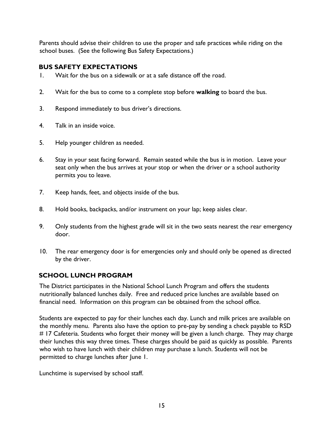Parents should advise their children to use the proper and safe practices while riding on the school buses. (See the following Bus Safety Expectations.)

#### **BUS SAFETY EXPECTATIONS**

- 1. Wait for the bus on a sidewalk or at a safe distance off the road.
- 2. Wait for the bus to come to a complete stop before **walking** to board the bus.
- 3. Respond immediately to bus driver's directions.
- 4. Talk in an inside voice.
- 5. Help younger children as needed.
- 6. Stay in your seat facing forward. Remain seated while the bus is in motion. Leave your seat only when the bus arrives at your stop or when the driver or a school authority permits you to leave.
- 7. Keep hands, feet, and objects inside of the bus.
- 8. Hold books, backpacks, and/or instrument on your lap; keep aisles clear.
- 9. Only students from the highest grade will sit in the two seats nearest the rear emergency door.
- 10. The rear emergency door is for emergencies only and should only be opened as directed by the driver.

#### **SCHOOL LUNCH PROGRAM**

The District participates in the National School Lunch Program and offers the students nutritionally balanced lunches daily. Free and reduced price lunches are available based on financial need. Information on this program can be obtained from the school office.

Students are expected to pay for their lunches each day. Lunch and milk prices are available on the monthly menu. Parents also have the option to pre-pay by sending a check payable to RSD # 17 Cafeteria. Students who forget their money will be given a lunch charge. They may charge their lunches this way three times. These charges should be paid as quickly as possible. Parents who wish to have lunch with their children may purchase a lunch. Students will not be permitted to charge lunches after June 1.

Lunchtime is supervised by school staff.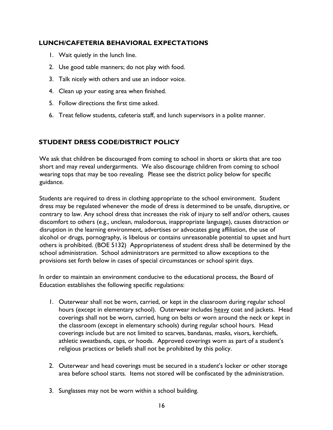#### **LUNCH/CAFETERIA BEHAVIORAL EXPECTATIONS**

- 1. Wait quietly in the lunch line.
- 2. Use good table manners; do not play with food.
- 3. Talk nicely with others and use an indoor voice.
- 4. Clean up your eating area when finished.
- 5. Follow directions the first time asked.
- 6. Treat fellow students, cafeteria staff, and lunch supervisors in a polite manner.

#### **STUDENT DRESS CODE/DISTRICT POLICY**

We ask that children be discouraged from coming to school in shorts or skirts that are too short and may reveal undergarments. We also discourage children from coming to school wearing tops that may be too revealing. Please see the district policy below for specific guidance.

Students are required to dress in clothing appropriate to the school environment. Student dress may be regulated whenever the mode of dress is determined to be unsafe, disruptive, or contrary to law. Any school dress that increases the risk of injury to self and/or others, causes discomfort to others (e.g., unclean, malodorous, inappropriate language), causes distraction or disruption in the learning environment, advertises or advocates gang affiliation, the use of alcohol or drugs, pornography, is libelous or contains unreasonable potential to upset and hurt others is prohibited. (BOE 5132) Appropriateness of student dress shall be determined by the school administration. School administrators are permitted to allow exceptions to the provisions set forth below in cases of special circumstances or school spirit days.

In order to maintain an environment conducive to the educational process, the Board of Education establishes the following specific regulations:

- 1. Outerwear shall not be worn, carried, or kept in the classroom during regular school hours (except in elementary school). Outerwear includes heavy coat and jackets. Head coverings shall not be worn, carried, hung on belts or worn around the neck or kept in the classroom (except in elementary schools) during regular school hours. Head coverings include but are not limited to scarves, bandanas, masks, visors, kerchiefs, athletic sweatbands, caps, or hoods. Approved coverings worn as part of a student's religious practices or beliefs shall not be prohibited by this policy.
- 2. Outerwear and head coverings must be secured in a student's locker or other storage area before school starts. Items not stored will be confiscated by the administration.
- 3. Sunglasses may not be worn within a school building.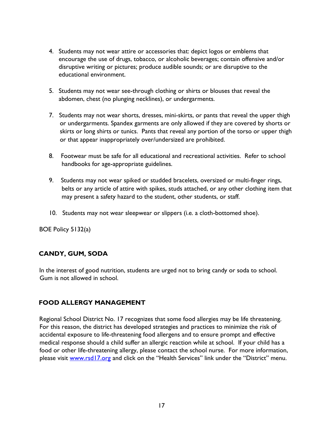- 4. Students may not wear attire or accessories that: depict logos or emblems that encourage the use of drugs, tobacco, or alcoholic beverages; contain offensive and/or disruptive writing or pictures; produce audible sounds; or are disruptive to the educational environment.
- 5. Students may not wear see-through clothing or shirts or blouses that reveal the abdomen, chest (no plunging necklines), or undergarments.
- 7. Students may not wear shorts, dresses, mini-skirts, or pants that reveal the upper thigh or undergarments. Spandex garments are only allowed if they are covered by shorts or skirts or long shirts or tunics. Pants that reveal any portion of the torso or upper thigh or that appear inappropriately over/undersized are prohibited.
- 8. Footwear must be safe for all educational and recreational activities. Refer to school handbooks for age-appropriate guidelines.
- 9. Students may not wear spiked or studded bracelets, oversized or multi-finger rings, belts or any article of attire with spikes, studs attached, or any other clothing item that may present a safety hazard to the student, other students, or staff.
- 10. Students may not wear sleepwear or slippers (i.e. a cloth-bottomed shoe).

BOE Policy 5132(a)

#### **CANDY, GUM, SODA**

In the interest of good nutrition, students are urged not to bring candy or soda to school. Gum is not allowed in school.

#### **FOOD ALLERGY MANAGEMENT**

Regional School District No. 17 recognizes that some food allergies may be life threatening. For this reason, the district has developed strategies and practices to minimize the risk of accidental exposure to life-threatening food allergens and to ensure prompt and effective medical response should a child suffer an allergic reaction while at school. If your child has a food or other life-threatening allergy, please contact the school nurse. For more information, please visit [www.rsd17.org](http://www.rsd17.org/) and click on the "Health Services" link under the "District" menu.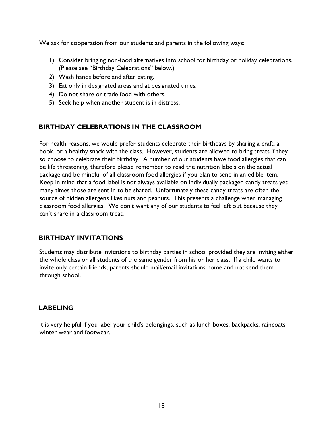We ask for cooperation from our students and parents in the following ways:

- 1) Consider bringing non-food alternatives into school for birthday or holiday celebrations. (Please see "Birthday Celebrations" below.)
- 2) Wash hands before and after eating.
- 3) Eat only in designated areas and at designated times.
- 4) Do not share or trade food with others.
- 5) Seek help when another student is in distress.

#### **BIRTHDAY CELEBRATIONS IN THE CLASSROOM**

For health reasons, we would prefer students celebrate their birthdays by sharing a craft, a book, or a healthy snack with the class. However, students are allowed to bring treats if they so choose to celebrate their birthday. A number of our students have food allergies that can be life threatening, therefore please remember to read the nutrition labels on the actual package and be mindful of all classroom food allergies if you plan to send in an edible item. Keep in mind that a food label is not always available on individually packaged candy treats yet many times those are sent in to be shared. Unfortunately these candy treats are often the source of hidden allergens likes nuts and peanuts. This presents a challenge when managing classroom food allergies. We don't want any of our students to feel left out because they can't share in a classroom treat.

#### **BIRTHDAY INVITATIONS**

Students may distribute invitations to birthday parties in school provided they are inviting either the whole class or all students of the same gender from his or her class. If a child wants to invite only certain friends, parents should mail/email invitations home and not send them through school.

#### **LABELING**

It is very helpful if you label your child's belongings, such as lunch boxes, backpacks, raincoats, winter wear and footwear.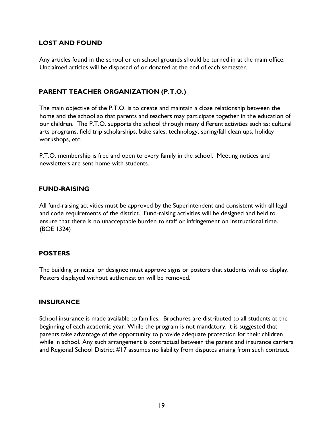#### **LOST AND FOUND**

Any articles found in the school or on school grounds should be turned in at the main office. Unclaimed articles will be disposed of or donated at the end of each semester.

#### **PARENT TEACHER ORGANIZATION (P.T.O.)**

The main objective of the P.T.O. is to create and maintain a close relationship between the home and the school so that parents and teachers may participate together in the education of our children. The P.T.O. supports the school through many different activities such as: cultural arts programs, field trip scholarships, bake sales, technology, spring/fall clean ups, holiday workshops, etc.

P.T.O. membership is free and open to every family in the school. Meeting notices and newsletters are sent home with students.

#### **FUND-RAISING**

All fund-raising activities must be approved by the Superintendent and consistent with all legal and code requirements of the district. Fund-raising activities will be designed and held to ensure that there is no unacceptable burden to staff or infringement on instructional time. (BOE 1324)

#### **POSTERS**

The building principal or designee must approve signs or posters that students wish to display. Posters displayed without authorization will be removed.

#### **INSURANCE**

School insurance is made available to families. Brochures are distributed to all students at the beginning of each academic year. While the program is not mandatory, it is suggested that parents take advantage of the opportunity to provide adequate protection for their children while in school. Any such arrangement is contractual between the parent and insurance carriers and Regional School District #17 assumes no liability from disputes arising from such contract.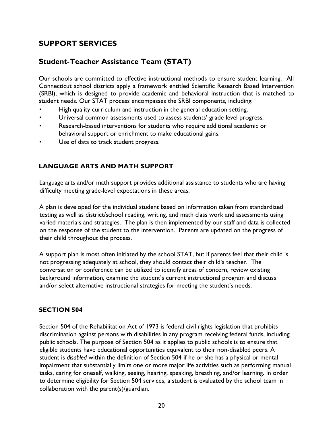#### **SUPPORT SERVICES**

#### **Student-Teacher Assistance Team (STAT)**

Our schools are committed to effective instructional methods to ensure student learning. All Connecticut school districts apply a framework entitled Scientific Research Based Intervention (SRBI), which is designed to provide academic and behavioral instruction that is matched to student needs. Our STAT process encompasses the SRBI components, including:

- High quality curriculum and instruction in the general education setting.
- Universal common assessments used to assess students' grade level progress.
- Research-based interventions for students who require additional academic or behavioral support or enrichment to make educational gains.
- Use of data to track student progress.

#### **LANGUAGE ARTS AND MATH SUPPORT**

Language arts and/or math support provides additional assistance to students who are having difficulty meeting grade-level expectations in these areas.

A plan is developed for the individual student based on information taken from standardized testing as well as district/school reading, writing, and math class work and assessments using varied materials and strategies. The plan is then implemented by our staff and data is collected on the response of the student to the intervention. Parents are updated on the progress of their child throughout the process.

A support plan is most often initiated by the school STAT, but if parents feel that their child is not progressing adequately at school, they should contact their child's teacher. The conversation or conference can be utilized to identify areas of concern, review existing background information, examine the student's current instructional program and discuss and/or select alternative instructional strategies for meeting the student's needs.

#### **SECTION 504**

Section 504 of the Rehabilitation Act of 1973 is federal civil rights legislation that prohibits discrimination against persons with disabilities in any program receiving federal funds, including public schools. The purpose of Section 504 as it applies to public schools is to ensure that eligible students have educational opportunities equivalent to their non-disabled peers. A student is *disabled* within the definition of Section 504 if he or she has a physical or mental impairment that substantially limits one or more major life activities such as performing manual tasks, caring for oneself, walking, seeing, hearing, speaking, breathing, and/or learning. In order to determine eligibility for Section 504 services, a student is evaluated by the school team in collaboration with the parent(s)/guardian.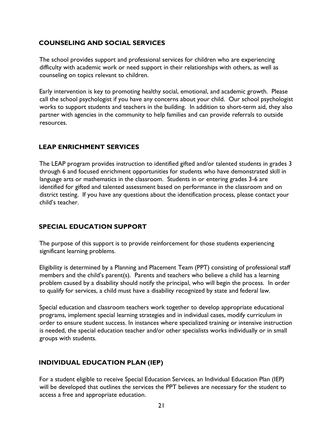#### **COUNSELING AND SOCIAL SERVICES**

The school provides support and professional services for children who are experiencing difficulty with academic work or need support in their relationships with others, as well as counseling on topics relevant to children.

Early intervention is key to promoting healthy social, emotional, and academic growth. Please call the school psychologist if you have any concerns about your child. Our school psychologist works to support students and teachers in the building. In addition to short-term aid, they also partner with agencies in the community to help families and can provide referrals to outside resources.

#### **LEAP ENRICHMENT SERVICES**

The LEAP program provides instruction to identified gifted and/or talented students in grades 3 through 6 and focused enrichment opportunities for students who have demonstrated skill in language arts or mathematics in the classroom. Students in or entering grades 3-6 are identified for gifted and talented assessment based on performance in the classroom and on district testing. If you have any questions about the identification process, please contact your child's teacher.

#### **SPECIAL EDUCATION SUPPORT**

The purpose of this support is to provide reinforcement for those students experiencing significant learning problems.

Eligibility is determined by a Planning and Placement Team (PPT) consisting of professional staff members and the child's parent(s). Parents and teachers who believe a child has a learning problem caused by a disability should notify the principal, who will begin the process. In order to qualify for services, a child must have a disability recognized by state and federal law.

Special education and classroom teachers work together to develop appropriate educational programs, implement special learning strategies and in individual cases, modify curriculum in order to ensure student success. In instances where specialized training or intensive instruction is needed, the special education teacher and/or other specialists works individually or in small groups with students.

#### **INDIVIDUAL EDUCATION PLAN (IEP)**

For a student eligible to receive Special Education Services, an Individual Education Plan (IEP) will be developed that outlines the services the PPT believes are necessary for the student to access a free and appropriate education.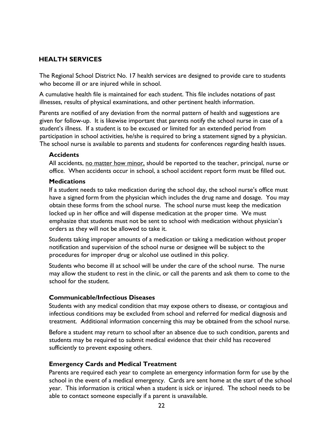#### **HEALTH SERVICES**

The Regional School District No. 17 health services are designed to provide care to students who become ill or are injured while in school.

A cumulative health file is maintained for each student. This file includes notations of past illnesses, results of physical examinations, and other pertinent health information.

Parents are notified of any deviation from the normal pattern of health and suggestions are given for follow-up. It is likewise important that parents notify the school nurse in case of a student's illness. If a student is to be excused or limited for an extended period from participation in school activities, he/she is required to bring a statement signed by a physician. The school nurse is available to parents and students for conferences regarding health issues.

#### **Accidents**

All accidents, <u>no matter how minor,</u> should be reported to the teacher, principal, nurse or office. When accidents occur in school, a school accident report form must be filled out.

#### **Medications**

If a student needs to take medication during the school day, the school nurse's office must have a signed form from the physician which includes the drug name and dosage. You may obtain these forms from the school nurse. The school nurse must keep the medication locked up in her office and will dispense medication at the proper time. We must emphasize that students must not be sent to school with medication without physician's orders as they will not be allowed to take it.

Students taking improper amounts of a medication or taking a medication without proper notification and supervision of the school nurse or designee will be subject to the procedures for improper drug or alcohol use outlined in this policy.

Students who become ill at school will be under the care of the school nurse. The nurse may allow the student to rest in the clinic, or call the parents and ask them to come to the school for the student.

#### **Communicable/Infectious Diseases**

Students with any medical condition that may expose others to disease, or contagious and infectious conditions may be excluded from school and referred for medical diagnosis and treatment. Additional information concerning this may be obtained from the school nurse.

Before a student may return to school after an absence due to such condition, parents and students may be required to submit medical evidence that their child has recovered sufficiently to prevent exposing others.

#### **Emergency Cards and Medical Treatment**

Parents are required each year to complete an emergency information form for use by the school in the event of a medical emergency. Cards are sent home at the start of the school year. This information is critical when a student is sick or injured. The school needs to be able to contact someone especially if a parent is unavailable.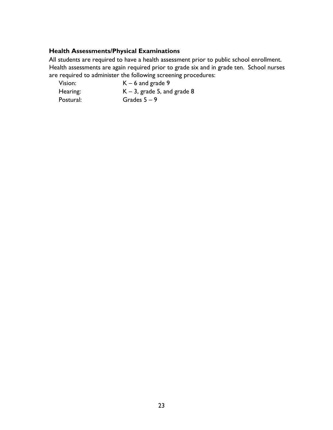#### **Health Assessments/Physical Examinations**

All students are required to have a health assessment prior to public school enrollment. Health assessments are again required prior to grade six and in grade ten. School nurses are required to administer the following screening procedures:

| Vision:   | $K - 6$ and grade 9            |
|-----------|--------------------------------|
| Hearing:  | $K - 3$ , grade 5, and grade 8 |
| Postural: | Grades $5-9$                   |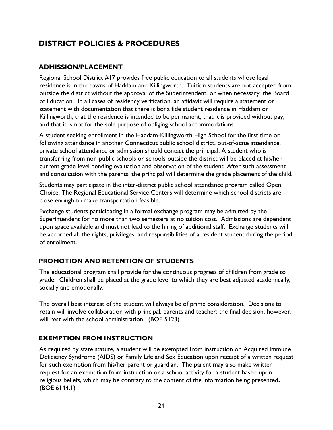#### **DISTRICT POLICIES & PROCEDURES**

#### **ADMISSION/PLACEMENT**

Regional School District #17 provides free public education to all students whose legal residence is in the towns of Haddam and Killingworth. Tuition students are not accepted from outside the district without the approval of the Superintendent, or when necessary, the Board of Education. In all cases of residency verification, an affidavit will require a statement or statement with documentation that there is bona fide student residence in Haddam or Killingworth, that the residence is intended to be permanent, that it is provided without pay, and that it is not for the sole purpose of obliging school accommodations.

A student seeking enrollment in the Haddam-Killingworth High School for the first time or following attendance in another Connecticut public school district, out-of-state attendance, private school attendance or admission should contact the principal. A student who is transferring from non-public schools or schools outside the district will be placed at his/her current grade level pending evaluation and observation of the student. After such assessment and consultation with the parents, the principal will determine the grade placement of the child.

Students may participate in the inter-district public school attendance program called Open Choice. The Regional Educational Service Centers will determine which school districts are close enough to make transportation feasible.

Exchange students participating in a formal exchange program may be admitted by the Superintendent for no more than two semesters at no tuition cost. Admissions are dependent upon space available and must not lead to the hiring of additional staff. Exchange students will be accorded all the rights, privileges, and responsibilities of a resident student during the period of enrollment.

#### **PROMOTION AND RETENTION OF STUDENTS**

The educational program shall provide for the continuous progress of children from grade to grade. Children shall be placed at the grade level to which they are best adjusted academically, socially and emotionally.

The overall best interest of the student will always be of prime consideration. Decisions to retain will involve collaboration with principal, parents and teacher; the final decision, however, will rest with the school administration. (BOE 5123)

#### **EXEMPTION FROM INSTRUCTION**

As required by state statute, a student will be exempted from instruction on Acquired Immune Deficiency Syndrome (AIDS) or Family Life and Sex Education upon receipt of a written request for such exemption from his/her parent or guardian. The parent may also make written request for an exemption from instruction or a school activity for a student based upon religious beliefs, which may be contrary to the content of the information being presented**.**  (BOE 6144.1)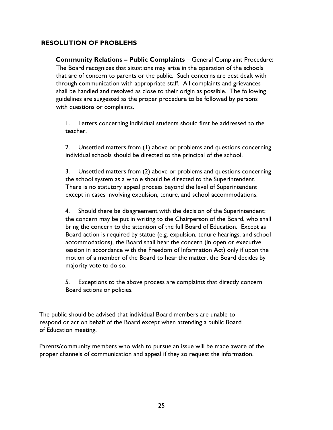#### **RESOLUTION OF PROBLEMS**

**Community Relations – Public Complaints** – General Complaint Procedure: The Board recognizes that situations may arise in the operation of the schools that are of concern to parents or the public. Such concerns are best dealt with through communication with appropriate staff. All complaints and grievances shall be handled and resolved as close to their origin as possible. The following guidelines are suggested as the proper procedure to be followed by persons with questions or complaints.

1. Letters concerning individual students should first be addressed to the teacher.

2. Unsettled matters from (1) above or problems and questions concerning individual schools should be directed to the principal of the school.

3. Unsettled matters from (2) above or problems and questions concerning the school system as a whole should be directed to the Superintendent. There is no statutory appeal process beyond the level of Superintendent except in cases involving expulsion, tenure, and school accommodations.

4. Should there be disagreement with the decision of the Superintendent; the concern may be put in writing to the Chairperson of the Board, who shall bring the concern to the attention of the full Board of Education. Except as Board action is required by statue (e.g. expulsion, tenure hearings, and school accommodations), the Board shall hear the concern (in open or executive session in accordance with the Freedom of Information Act) only if upon the motion of a member of the Board to hear the matter, the Board decides by majority vote to do so.

5. Exceptions to the above process are complaints that directly concern Board actions or policies.

The public should be advised that individual Board members are unable to respond or act on behalf of the Board except when attending a public Board of Education meeting.

Parents/community members who wish to pursue an issue will be made aware of the proper channels of communication and appeal if they so request the information.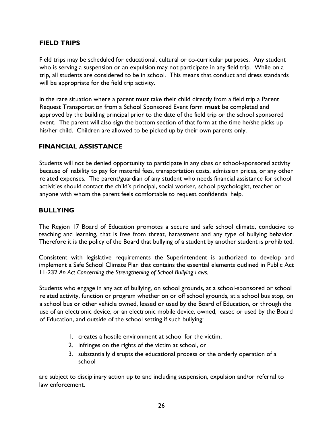#### **FIELD TRIPS**

Field trips may be scheduled for educational, cultural or co-curricular purposes. Any student who is serving a suspension or an expulsion may not participate in any field trip. While on a trip, all students are considered to be in school. This means that conduct and dress standards will be appropriate for the field trip activity.

In the rare situation where a parent must take their child directly from a field trip a Parent Request Transportation from a School Sponsored Event form **must** be completed and approved by the building principal prior to the date of the field trip or the school sponsored event. The parent will also sign the bottom section of that form at the time he/she picks up his/her child. Children are allowed to be picked up by their own parents only.

#### **FINANCIAL ASSISTANCE**

Students will not be denied opportunity to participate in any class or school-sponsored activity because of inability to pay for material fees, transportation costs, admission prices, or any other related expenses. The parent/guardian of any student who needs financial assistance for school activities should contact the child's principal, social worker, school psychologist, teacher or anyone with whom the parent feels comfortable to request confidential help.

#### **BULLYING**

The Region 17 Board of Education promotes a secure and safe school climate, conducive to teaching and learning, that is free from threat, harassment and any type of bullying behavior. Therefore it is the policy of the Board that bullying of a student by another student is prohibited.

Consistent with legislative requirements the Superintendent is authorized to develop and implement a Safe School Climate Plan that contains the essential elements outlined in Public Act 11-232 *An Act Concerning the Strengthening of School Bullying Laws.* 

Students who engage in any act of bullying, on school grounds, at a school-sponsored or school related activity, function or program whether on or off school grounds, at a school bus stop, on a school bus or other vehicle owned, leased or used by the Board of Education, or through the use of an electronic device, or an electronic mobile device, owned, leased or used by the Board of Education, and outside of the school setting if such bullying:

- 1. creates a hostile environment at school for the victim,
- 2. infringes on the rights of the victim at school, or
- 3. substantially disrupts the educational process or the orderly operation of a school

are subject to disciplinary action up to and including suspension, expulsion and/or referral to law enforcement.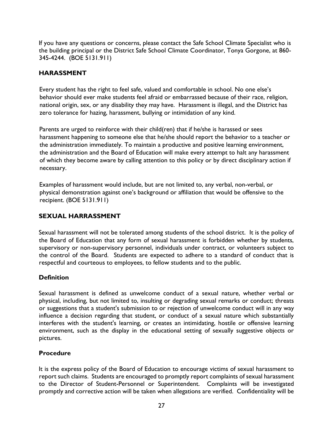If you have any questions or concerns, please contact the Safe School Climate Specialist who is the building principal or the District Safe School Climate Coordinator, Tonya Gorgone, at 860- 345-4244. (BOE 5131.911)

#### **HARASSMENT**

Every student has the right to feel safe, valued and comfortable in school. No one else's behavior should ever make students feel afraid or embarrassed because of their race, religion, national origin, sex, or any disability they may have. Harassment is illegal, and the District has zero tolerance for hazing, harassment, bullying or intimidation of any kind.

Parents are urged to reinforce with their child(ren) that if he/she is harassed or sees harassment happening to someone else that he/she should report the behavior to a teacher or the administration immediately. To maintain a productive and positive learning environment, the administration and the Board of Education will make every attempt to halt any harassment of which they become aware by calling attention to this policy or by direct disciplinary action if necessary.

Examples of harassment would include, but are not limited to, any verbal, non-verbal, or physical demonstration against one's background or affiliation that would be offensive to the recipient. (BOE 5131.911)

#### **SEXUAL HARRASSMENT**

Sexual harassment will not be tolerated among students of the school district. It is the policy of the Board of Education that any form of sexual harassment is forbidden whether by students, supervisory or non-supervisory personnel, individuals under contract, or volunteers subject to the control of the Board. Students are expected to adhere to a standard of conduct that is respectful and courteous to employees, to fellow students and to the public.

#### **Definition**

Sexual harassment is defined as unwelcome conduct of a sexual nature, whether verbal or physical, including, but not limited to, insulting or degrading sexual remarks or conduct; threats or suggestions that a student's submission to or rejection of unwelcome conduct will in any way influence a decision regarding that student, or conduct of a sexual nature which substantially interferes with the student's learning, or creates an intimidating, hostile or offensive learning environment, such as the display in the educational setting of sexually suggestive objects or pictures.

#### **Procedure**

It is the express policy of the Board of Education to encourage victims of sexual harassment to report such claims. Students are encouraged to promptly report complaints of sexual harassment to the Director of Student-Personnel or Superintendent. Complaints will be investigated promptly and corrective action will be taken when allegations are verified. Confidentiality will be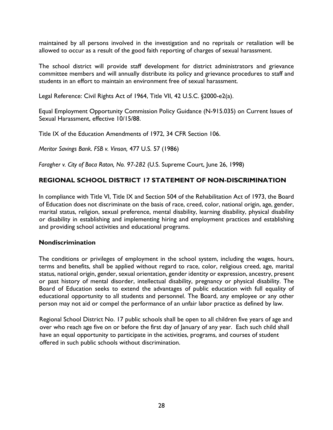maintained by all persons involved in the investigation and no reprisals or retaliation will be allowed to occur as a result of the good faith reporting of charges of sexual harassment.

The school district will provide staff development for district administrators and grievance committee members and will annually distribute its policy and grievance procedures to staff and students in an effort to maintain an environment free of sexual harassment.

Legal Reference: Civil Rights Act of 1964, Title VII, 42 U.S.C. §2000-e2(a).

Equal Employment Opportunity Commission Policy Guidance (N-915.035) on Current Issues of Sexual Harassment, effective 10/15/88.

Title IX of the Education Amendments of 1972, 34 CFR Section 106.

*Meritor Savings Bank. FSB v. Vinson,* 477 U.S. 57 (1986)

*Faragher v. City of Boca Raton, No. 97-282* (U.S. Supreme Court, June 26, 1998)

#### **REGIONAL SCHOOL DISTRICT 17 STATEMENT OF NON-DISCRIMINATION**

In compliance with Title VI, Title IX and Section 504 of the Rehabilitation Act of 1973, the Board of Education does not discriminate on the basis of race, creed, color, national origin, age, gender, marital status, religion, sexual preference, mental disability, learning disability, physical disability or disability in establishing and implementing hiring and employment practices and establishing and providing school activities and educational programs.

#### **Nondiscrimination**

The conditions or privileges of employment in the school system, including the wages, hours, terms and benefits, shall be applied without regard to race, color, religious creed, age, marital status, national origin, gender, sexual orientation, gender identity or expression, ancestry, present or past history of mental disorder, intellectual disability, pregnancy or physical disability. The Board of Education seeks to extend the advantages of public education with full equality of educational opportunity to all students and personnel. The Board, any employee or any other person may not aid or compel the performance of an unfair labor practice as defined by law.

Regional School District No. 17 public schools shall be open to all children five years of age and over who reach age five on or before the first day of January of any year. Each such child shall have an equal opportunity to participate in the activities, programs, and courses of student offered in such public schools without discrimination.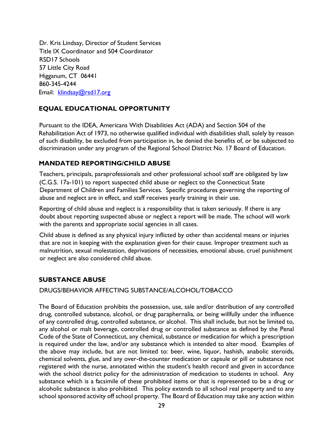Dr. Kris Lindsay, Director of Student Services Title IX Coordinator and 504 Coordinator RSD17 Schools 57 Little City Road Higganum, CT 06441 860-345-4244 Email: klindsay@rsd17.org

#### **EQUAL EDUCATIONAL OPPORTUNITY**

Pursuant to the IDEA, Americans With Disabilities Act (ADA) and Section 504 of the Rehabilitation Act of 1973, no otherwise qualified individual with disabilities shall, solely by reason of such disability, be excluded from participation in, be denied the benefits of, or be subjected to discrimination under any program of the Regional School District No. 17 Board of Education.

#### **MANDATED REPORTING/CHILD ABUSE**

Teachers, principals, paraprofessionals and other professional school staff are obligated by law (C.G.S. 17a-101) to report suspected child abuse or neglect to the Connecticut State Department of Children and Families Services. Specific procedures governing the reporting of abuse and neglect are in effect, and staff receives yearly training in their use.

Reporting of child abuse and neglect is a responsibility that is taken seriously. If there is any doubt about reporting suspected abuse or neglect a report will be made. The school will work with the parents and appropriate social agencies in all cases.

Child abuse is defined as any physical injury inflicted by other than accidental means or injuries that are not in keeping with the explanation given for their cause. Improper treatment such as malnutrition, sexual molestation, deprivations of necessities, emotional abuse, cruel punishment or neglect are also considered child abuse.

#### **SUBSTANCE ABUSE**

#### DRUGS/BEHAVIOR AFFECTING SUBSTANCE/ALCOHOL/TOBACCO

The Board of Education prohibits the possession, use, sale and/or distribution of any controlled drug, controlled substance, alcohol, or drug paraphernalia, or being willfully under the influence of any controlled drug, controlled substance, or alcohol. This shall include, but not be limited to, any alcohol or malt beverage, controlled drug or controlled substance as defined by the Penal Code of the State of Connecticut, any chemical, substance or medication for which a prescription is required under the law, and/or any substance which is intended to alter mood. Examples of the above may include, but are not limited to: beer, wine, liquor, hashish, anabolic steroids, chemical solvents, glue, and any over-the-counter medication or capsule or pill or substance not registered with the nurse, annotated within the student's health record and given in accordance with the school district policy for the administration of medication to students in school. Any substance which is a facsimile of these prohibited items or that is represented to be a drug or alcoholic substance is also prohibited. This policy extends to all school real property and to any school sponsored activity off school property. The Board of Education may take any action within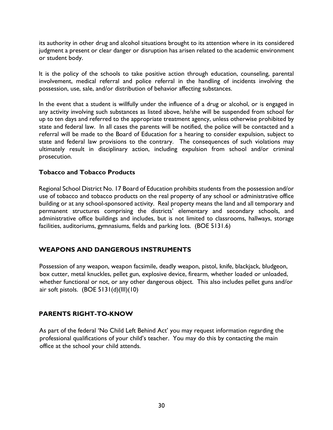its authority in other drug and alcohol situations brought to its attention where in its considered judgment a present or clear danger or disruption has arisen related to the academic environment or student body.

It is the policy of the schools to take positive action through education, counseling, parental involvement, medical referral and police referral in the handling of incidents involving the possession, use, sale, and/or distribution of behavior affecting substances.

In the event that a student is willfully under the influence of a drug or alcohol, or is engaged in any activity involving such substances as listed above, he/she will be suspended from school for up to ten days and referred to the appropriate treatment agency, unless otherwise prohibited by state and federal law. In all cases the parents will be notified, the police will be contacted and a referral will be made to the Board of Education for a hearing to consider expulsion, subject to state and federal law provisions to the contrary. The consequences of such violations may ultimately result in disciplinary action, including expulsion from school and/or criminal prosecution.

#### **Tobacco and Tobacco Products**

Regional School District No. 17 Board of Education prohibits students from the possession and/or use of tobacco and tobacco products on the real property of any school or administrative office building or at any school-sponsored activity. Real property means the land and all temporary and permanent structures comprising the districts' elementary and secondary schools, and administrative office buildings and includes, but is not limited to classrooms, hallways, storage facilities, auditoriums, gymnasiums, fields and parking lots. (BOE 5131.6)

#### **WEAPONS AND DANGEROUS INSTRUMENTS**

Possession of any weapon, weapon facsimile, deadly weapon, pistol, knife, blackjack, bludgeon, box cutter, metal knuckles, pellet gun, explosive device, firearm, whether loaded or unloaded, whether functional or not, or any other dangerous object. This also includes pellet guns and/or air soft pistols.  $(BOE 5131(d)(III)(10))$ 

#### **PARENTS RIGHT-TO-KNOW**

As part of the federal 'No Child Left Behind Act' you may request information regarding the professional qualifications of your child's teacher. You may do this by contacting the main office at the school your child attends.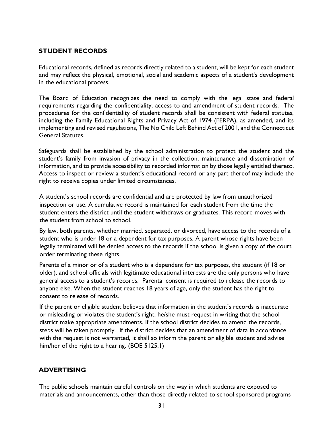#### **STUDENT RECORDS**

Educational records, defined as records directly related to a student, will be kept for each student and may reflect the physical, emotional, social and academic aspects of a student's development in the educational process.

The Board of Education recognizes the need to comply with the legal state and federal requirements regarding the confidentiality, access to and amendment of student records. The procedures for the confidentiality of student records shall be consistent with federal statutes, including the Family Educational Rights and Privacy Act of 1974 (FERPA), as amended, and its implementing and revised regulations, The No Child Left Behind Act of 2001, and the Connecticut General Statutes.

Safeguards shall be established by the school administration to protect the student and the student's family from invasion of privacy in the collection, maintenance and dissemination of information, and to provide accessibility to recorded information by those legally entitled thereto. Access to inspect or review a student's educational record or any part thereof may include the right to receive copies under limited circumstances.

A student's school records are confidential and are protected by law from unauthorized inspection or use. A cumulative record is maintained for each student from the time the student enters the district until the student withdraws or graduates. This record moves with the student from school to school.

By law, both parents, whether married, separated, or divorced, have access to the records of a student who is under 18 or a dependent for tax purposes. A parent whose rights have been legally terminated will be denied access to the records if the school is given a copy of the court order terminating these rights.

Parents of a minor or of a student who is a dependent for tax purposes, the student (if 18 or older), and school officials with legitimate educational interests are the only persons who have general access to a student's records. Parental consent is required to release the records to anyone else. When the student reaches 18 years of age, only the student has the right to consent to release of records.

If the parent or eligible student believes that information in the student's records is inaccurate or misleading or violates the student's right, he/she must request in writing that the school district make appropriate amendments. If the school district decides to amend the records, steps will be taken promptly. If the district decides that an amendment of data in accordance with the request is not warranted, it shall so inform the parent or eligible student and advise him/her of the right to a hearing. (BOE 5125.1)

#### **ADVERTISING**

The public schools maintain careful controls on the way in which students are exposed to materials and announcements, other than those directly related to school sponsored programs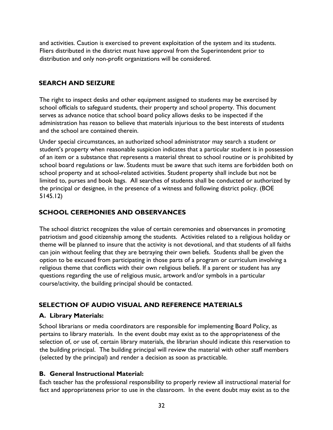and activities. Caution is exercised to prevent exploitation of the system and its students. Fliers distributed in the district must have approval from the Superintendent prior to distribution and only non-profit organizations will be considered.

#### **SEARCH AND SEIZURE**

The right to inspect desks and other equipment assigned to students may be exercised by school officials to safeguard students, their property and school property. This document serves as advance notice that school board policy allows desks to be inspected if the administration has reason to believe that materials injurious to the best interests of students and the school are contained therein.

Under special circumstances, an authorized school administrator may search a student or student's property when reasonable suspicion indicates that a particular student is in possession of an item or a substance that represents a material threat to school routine or is prohibited by school board regulations or law. Students must be aware that such items are forbidden both on school property and at school-related activities. Student property shall include but not be limited to, purses and book bags. All searches of students shall be conducted or authorized by the principal or designee, in the presence of a witness and following district policy. (BOE 5145.12)

#### **SCHOOL CEREMONIES AND OBSERVANCES**

The school district recognizes the value of certain ceremonies and observances in promoting patriotism and good citizenship among the students. Activities related to a religious holiday or theme will be planned to insure that the activity is not devotional, and that students of all faiths can join without feeling that they are betraying their own beliefs. Students shall be given the option to be excused from participating in those parts of a program or curriculum involving a religious theme that conflicts with their own religious beliefs. If a parent or student has any questions regarding the use of religious music, artwork and/or symbols in a particular course/activity, the building principal should be contacted.

#### **SELECTION OF AUDIO VISUAL AND REFERENCE MATERIALS**

#### **A. Library Materials:**

School librarians or media coordinators are responsible for implementing Board Policy, as pertains to library materials. In the event doubt may exist as to the appropriateness of the selection of, or use of, certain library materials, the librarian should indicate this reservation to the building principal. The building principal will review the material with other staff members (selected by the principal) and render a decision as soon as practicable.

#### **B. General Instructional Material:**

Each teacher has the professional responsibility to properly review all instructional material for fact and appropriateness prior to use in the classroom. In the event doubt may exist as to the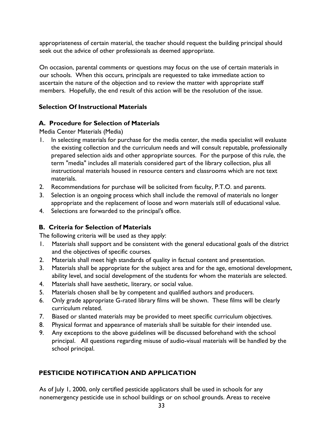appropriateness of certain material, the teacher should request the building principal should seek out the advice of other professionals as deemed appropriate.

On occasion, parental comments or questions may focus on the use of certain materials in our schools. When this occurs, principals are requested to take immediate action to ascertain the nature of the objection and to review the matter with appropriate staff members. Hopefully, the end result of this action will be the resolution of the issue.

#### **Selection Of Instructional Materials**

#### **A. Procedure for Selection of Materials**

Media Center Materials (Media)

- 1. In selecting materials for purchase for the media center, the media specialist will evaluate the existing collection and the curriculum needs and will consult reputable, professionally prepared selection aids and other appropriate sources. For the purpose of this rule, the term "media" includes all materials considered part of the library collection, plus all instructional materials housed in resource centers and classrooms which are not text materials.
- 2. Recommendations for purchase will be solicited from faculty, P.T.O. and parents.
- 3. Selection is an ongoing process which shall include the removal of materials no longer appropriate and the replacement of loose and worn materials still of educational value.
- 4. Selections are forwarded to the principal's office.

#### **B. Criteria for Selection of Materials**

The following criteria will be used as they apply:

- 1. Materials shall support and be consistent with the general educational goals of the district and the objectives of specific courses.
- 2. Materials shall meet high standards of quality in factual content and presentation.
- 3. Materials shall be appropriate for the subject area and for the age, emotional development, ability level, and social development of the students for whom the materials are selected.
- 4. Materials shall have aesthetic, literary, or social value.
- 5. Materials chosen shall be by competent and qualified authors and producers.
- 6. Only grade appropriate G-rated library films will be shown. These films will be clearly curriculum related.
- 7. Biased or slanted materials may be provided to meet specific curriculum objectives.
- 8. Physical format and appearance of materials shall be suitable for their intended use.
- 9. Any exceptions to the above guidelines will be discussed beforehand with the school principal. All questions regarding misuse of audio-visual materials will be handled by the school principal.

#### **PESTICIDE NOTIFICATION AND APPLICATION**

As of July 1, 2000, only certified pesticide applicators shall be used in schools for any nonemergency pesticide use in school buildings or on school grounds. Areas to receive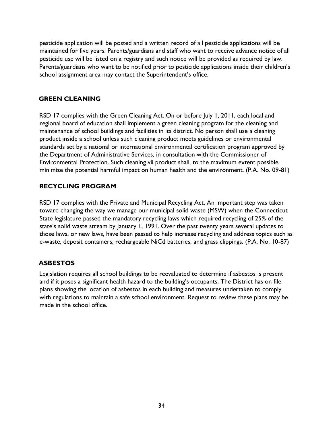pesticide application will be posted and a written record of all pesticide applications will be maintained for five years. Parents/guardians and staff who want to receive advance notice of all pesticide use will be listed on a registry and such notice will be provided as required by law. Parents/guardians who want to be notified prior to pesticide applications inside their children's school assignment area may contact the Superintendent's office.

#### **GREEN CLEANING**

RSD 17 complies with the Green Cleaning Act. On or before July 1, 2011, each local and regional board of education shall implement a green cleaning program for the cleaning and maintenance of school buildings and facilities in its district. No person shall use a cleaning product inside a school unless such cleaning product meets guidelines or environmental standards set by a national or international environmental certification program approved by the Department of Administrative Services, in consultation with the Commissioner of Environmental Protection. Such cleaning vii product shall, to the maximum extent possible, minimize the potential harmful impact on human health and the environment. (P.A. No. 09-81)

#### **RECYCLING PROGRAM**

RSD 17 complies with the Private and Municipal Recycling Act. An important step was taken toward changing the way we manage our municipal solid waste (MSW) when the Connecticut State legislature passed the mandatory recycling laws which required recycling of 25% of the state's solid waste stream by January 1, 1991. Over the past twenty years several updates to those laws, or new laws, have been passed to help increase recycling and address topics such as e-waste, deposit containers, rechargeable NiCd batteries, and grass clippings. (P.A. No. 10-87)

#### **ASBESTOS**

Legislation requires all school buildings to be reevaluated to determine if asbestos is present and if it poses a significant health hazard to the building's occupants. The District has on file plans showing the location of asbestos in each building and measures undertaken to comply with regulations to maintain a safe school environment. Request to review these plans may be made in the school office.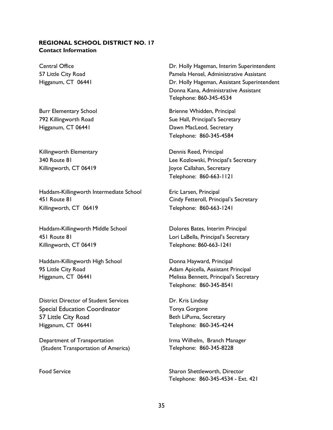#### **REGIONAL SCHOOL DISTRICT NO. 17 Contact Information**

Killingworth Elementary **Elementary** Dennis Reed, Principal

Haddam-Killingworth Intermediate School Eric Larsen, Principal 451 Route 81 Cindy Fetteroll, Principal's Secretary Killingworth, CT 06419 Telephone: 860-663-1241

Haddam-Killingworth Middle School Dolores Bates, Interim Principal 451 Route 81 Lori LaBella, Principal's Secretary Killingworth, CT 06419 Telephone: 860-663-1241

Haddam-Killingworth High School **Donna Hayward, Principal** 

District Director of Student Services Dr. Kris Lindsay Special Education Coordinator Tonya Gorgone 57 Little City Road Beth LiPuma, Secretary Higganum, CT 06441 Telephone: 860-345-4244

Department of Transportation (Student Transportation of America)

Central Office **Dr. Holly Hageman, Interim Superintendent** 57 Little City Road Pamela Hensel, Administrative Assistant Higganum, CT 06441 **Dr. Holly Hageman, Assistant Superintendent**  Donna Kana, Administrative Assistant Telephone: 860-345-4534

Burr Elementary School Brienne Whidden, Principal 792 Killingworth Road Sue Hall, Principal's Secretary Higganum, CT 06441 **Dawn MacLeod, Secretary** Telephone: 860-345-4584

340 Route 81 Lee Kozlowski, Principal's Secretary Killingworth, CT 06419 Joyce Callahan, Secretary Telephone: 860-663-1121

95 Little City Road **All and Adam Apicella, Assistant Principal** Higganum, CT 06441 Melissa Bennett, Principal's Secretary Telephone: 860-345-8541

Irma Wilhelm, Branch Manager Telephone: 860-345-8228

Food Service Sharon Sharon Shettleworth, Director Telephone: 860-345-4534 - Ext. 421